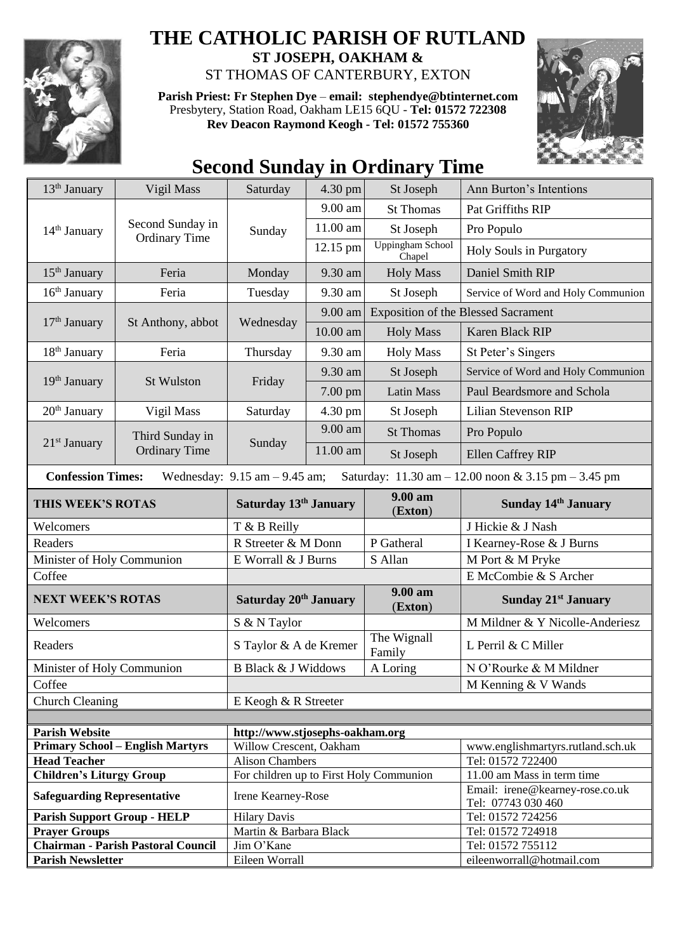

## **THE CATHOLIC PARISH OF RUTLAND**

**ST JOSEPH, OAKHAM &**  ST THOMAS OF CANTERBURY, EXTON

**Parish Priest: Fr Stephen Dye** – **[email: stephendye@btinternet.com](mailto:email:%20%20stephendye@btinternet.com)** Presbytery, Station Road, Oakham LE15 6QU - **Tel: 01572 722308 Rev Deacon Raymond Keogh - Tel: 01572 755360**



## **Second Sunday in Ordinary Time**

| 13 <sup>th</sup> January                                                                                                                                | Vigil Mass                                | Saturday                                | 4.30 pm  | St Joseph                                  | Ann Burton's Intentions                               |  |
|---------------------------------------------------------------------------------------------------------------------------------------------------------|-------------------------------------------|-----------------------------------------|----------|--------------------------------------------|-------------------------------------------------------|--|
| 14 <sup>th</sup> January                                                                                                                                | Second Sunday in<br><b>Ordinary Time</b>  | Sunday                                  | 9.00 am  | <b>St Thomas</b>                           | Pat Griffiths RIP                                     |  |
|                                                                                                                                                         |                                           |                                         | 11.00 am | St Joseph                                  | Pro Populo                                            |  |
|                                                                                                                                                         |                                           |                                         | 12.15 pm | Uppingham School<br>Chapel                 | Holy Souls in Purgatory                               |  |
| $15th$ January                                                                                                                                          | Feria                                     | Monday                                  | 9.30 am  | <b>Holy Mass</b>                           | Daniel Smith RIP                                      |  |
| 16 <sup>th</sup> January                                                                                                                                | Feria                                     | Tuesday                                 | 9.30 am  | St Joseph                                  | Service of Word and Holy Communion                    |  |
| $17th$ January                                                                                                                                          | St Anthony, abbot                         | Wednesday                               | 9.00 am  | <b>Exposition of the Blessed Sacrament</b> |                                                       |  |
|                                                                                                                                                         |                                           |                                         | 10.00 am | <b>Holy Mass</b>                           | Karen Black RIP                                       |  |
| 18 <sup>th</sup> January                                                                                                                                | Feria                                     | Thursday                                | 9.30 am  | <b>Holy Mass</b>                           | St Peter's Singers                                    |  |
|                                                                                                                                                         | <b>St Wulston</b>                         | Friday                                  | 9.30 am  | St Joseph                                  | Service of Word and Holy Communion                    |  |
| 19 <sup>th</sup> January                                                                                                                                |                                           |                                         | 7.00 pm  | <b>Latin Mass</b>                          | Paul Beardsmore and Schola                            |  |
| $20th$ January                                                                                                                                          | Vigil Mass                                | Saturday                                | 4.30 pm  | St Joseph                                  | Lilian Stevenson RIP                                  |  |
|                                                                                                                                                         | Third Sunday in<br><b>Ordinary Time</b>   | Sunday                                  | 9.00 am  | <b>St Thomas</b>                           | Pro Populo                                            |  |
| $21st$ January                                                                                                                                          |                                           |                                         | 11.00 am | St Joseph                                  | Ellen Caffrey RIP                                     |  |
| <b>Confession Times:</b><br>Wednesday: $9.15$ am $- 9.45$ am;<br>Saturday: $11.30 \text{ am} - 12.00 \text{ noon} \& 3.15 \text{ pm} - 3.45 \text{ pm}$ |                                           |                                         |          |                                            |                                                       |  |
| THIS WEEK'S ROTAS                                                                                                                                       |                                           | Saturday 13 <sup>th</sup> January       |          | 9.00 am<br>(Exton)                         | Sunday 14th January                                   |  |
| Welcomers                                                                                                                                               |                                           | T & B Reilly                            |          |                                            | J Hickie & J Nash                                     |  |
| Readers                                                                                                                                                 |                                           | R Streeter & M Donn                     |          | P Gatheral                                 |                                                       |  |
|                                                                                                                                                         |                                           |                                         |          |                                            | I Kearney-Rose & J Burns                              |  |
| Minister of Holy Communion                                                                                                                              |                                           | E Worrall & J Burns                     |          | S Allan                                    | M Port & M Pryke                                      |  |
| Coffee                                                                                                                                                  |                                           |                                         |          |                                            | E McCombie & S Archer                                 |  |
| <b>NEXT WEEK'S ROTAS</b>                                                                                                                                |                                           | Saturday 20th January                   |          | 9.00 am<br>(Exton)                         | <b>Sunday 21st January</b>                            |  |
| Welcomers                                                                                                                                               |                                           | S & N Taylor                            |          |                                            | M Mildner & Y Nicolle-Anderiesz                       |  |
| Readers                                                                                                                                                 |                                           | S Taylor & A de Kremer                  |          | The Wignall<br>Family                      | L Perril & C Miller                                   |  |
| Minister of Holy Communion                                                                                                                              |                                           | <b>B Black &amp; J Widdows</b>          |          | A Loring                                   | N O'Rourke & M Mildner                                |  |
| Coffee                                                                                                                                                  |                                           |                                         |          |                                            | M Kenning & V Wands                                   |  |
| <b>Church Cleaning</b>                                                                                                                                  |                                           | E Keogh & R Streeter                    |          |                                            |                                                       |  |
|                                                                                                                                                         |                                           |                                         |          |                                            |                                                       |  |
| <b>Parish Website</b>                                                                                                                                   |                                           | http://www.stjosephs-oakham.org         |          |                                            |                                                       |  |
|                                                                                                                                                         | <b>Primary School - English Martyrs</b>   | Willow Crescent, Oakham                 |          |                                            | www.englishmartyrs.rutland.sch.uk                     |  |
| <b>Head Teacher</b>                                                                                                                                     |                                           | <b>Alison Chambers</b>                  |          |                                            | Tel: 01572 722400                                     |  |
| <b>Children's Liturgy Group</b>                                                                                                                         |                                           | For children up to First Holy Communion |          |                                            | 11.00 am Mass in term time                            |  |
| <b>Safeguarding Representative</b>                                                                                                                      |                                           | Irene Kearney-Rose                      |          |                                            | Email: irene@kearney-rose.co.uk<br>Tel: 07743 030 460 |  |
| <b>Parish Support Group - HELP</b>                                                                                                                      |                                           | <b>Hilary Davis</b>                     |          |                                            | Tel: 01572 724256                                     |  |
| <b>Prayer Groups</b>                                                                                                                                    |                                           | Martin & Barbara Black                  |          |                                            | Tel: 01572 724918                                     |  |
| <b>Parish Newsletter</b>                                                                                                                                | <b>Chairman - Parish Pastoral Council</b> | Jim O'Kane<br>Eileen Worrall            |          |                                            | Tel: 01572 755112<br>eileenworrall@hotmail.com        |  |